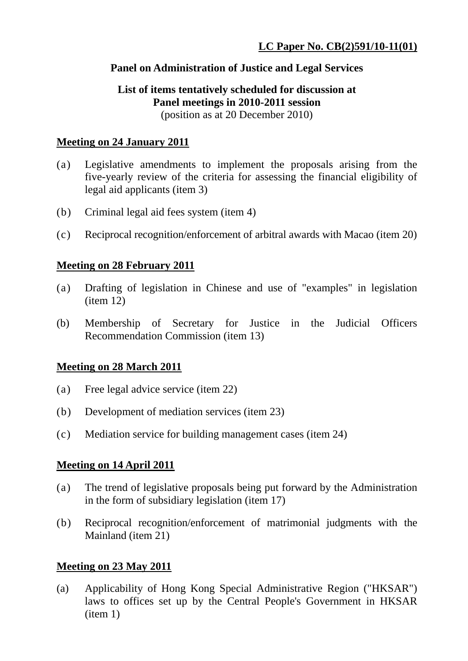#### **Panel on Administration of Justice and Legal Services**

#### **List of items tentatively scheduled for discussion at Panel meetings in 2010-2011 session**  (position as at 20 December 2010)

#### **Meeting on 24 January 2011**

- (a) Legislative amendments to implement the proposals arising from the five-yearly review of the criteria for assessing the financial eligibility of legal aid applicants (item 3)
- (b) Criminal legal aid fees system (item 4)
- (c) Reciprocal recognition/enforcement of arbitral awards with Macao (item 20)

# **Meeting on 28 February 2011**

- (a) Drafting of legislation in Chinese and use of "examples" in legislation (item 12)
- (b) Membership of Secretary for Justice in the Judicial Officers Recommendation Commission (item 13)

# **Meeting on 28 March 2011**

- (a) Free legal advice service (item 22)
- (b) Development of mediation services (item 23)
- (c) Mediation service for building management cases (item 24)

# **Meeting on 14 April 2011**

- (a) The trend of legislative proposals being put forward by the Administration in the form of subsidiary legislation (item 17)
- (b) Reciprocal recognition/enforcement of matrimonial judgments with the Mainland (item 21)

# **Meeting on 23 May 2011**

(a) Applicability of Hong Kong Special Administrative Region ("HKSAR") laws to offices set up by the Central People's Government in HKSAR (item 1)